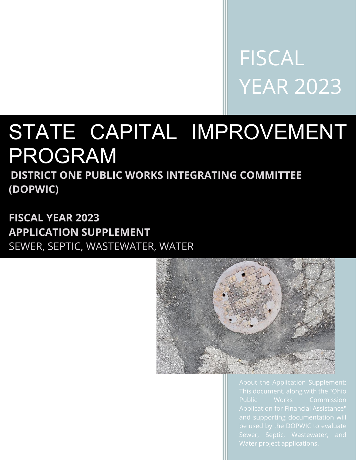FISCAL YEAR 2023

# STATE CAPITAL IMPROVEMENT PROGRAM

**DISTRICT ONE PUBLIC WORKS INTEGRATING COMMITTEE (DOPWIC)** 

**FISCAL YEAR 2023 APPLICATION SUPPLEMENT**  SEWER, SEPTIC, WASTEWATER, WATER



Sewer, Septic, Wastewater, and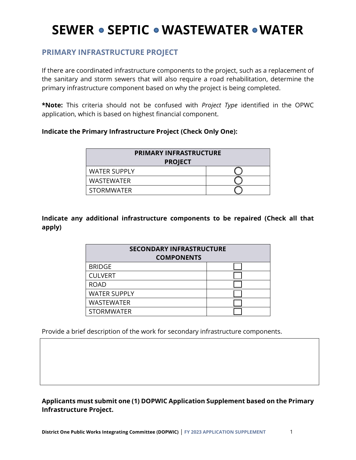### **PRIMARY INFRASTRUCTURE PROJECT**

If there are coordinated infrastructure components to the project, such as a replacement of the sanitary and storm sewers that will also require a road rehabilitation, determine the primary infrastructure component based on why the project is being completed.

**\*Note:** This criteria should not be confused with *Project Type* identified in the OPWC application, which is based on highest financial component.

#### **Indicate the Primary Infrastructure Project (Check Only One):**

| <b>PRIMARY INFRASTRUCTURE</b><br><b>PROJECT</b> |  |
|-------------------------------------------------|--|
| <b>WATER SUPPLY</b>                             |  |
| <b>WASTEWATER</b>                               |  |
| <b>STORMWATER</b>                               |  |

**Indicate any additional infrastructure components to be repaired (Check all that apply)**

| <b>SECONDARY INFRASTRUCTURE</b><br><b>COMPONENTS</b> |  |
|------------------------------------------------------|--|
| <b>BRIDGE</b>                                        |  |
| <b>CULVERT</b>                                       |  |
| <b>ROAD</b>                                          |  |
| <b>WATER SUPPLY</b>                                  |  |
| <b>WASTEWATER</b>                                    |  |
| <b>STORMWATER</b>                                    |  |

Provide a brief description of the work for secondary infrastructure components.

**Applicants must submit one (1) DOPWIC Application Supplement based on the Primary Infrastructure Project.**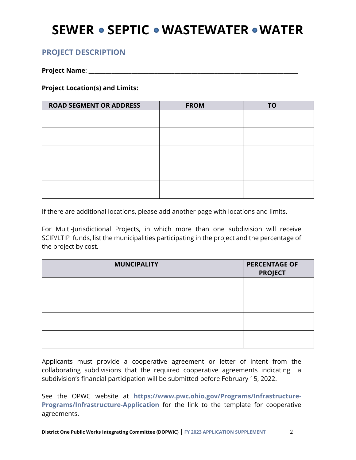### **PROJECT DESCRIPTION**

**Project Name**: \_\_\_\_\_\_\_\_\_\_\_\_\_\_\_\_\_\_\_\_\_\_\_\_\_\_\_\_\_\_\_\_\_\_\_\_\_\_\_\_\_\_\_\_\_\_\_\_\_\_\_\_\_\_\_\_\_\_\_\_\_\_\_\_\_\_\_\_\_\_\_\_\_

**Project Location(s) and Limits:** 

| <b>ROAD SEGMENT OR ADDRESS</b> | <b>FROM</b> | <b>TO</b> |
|--------------------------------|-------------|-----------|
|                                |             |           |
|                                |             |           |
|                                |             |           |
|                                |             |           |
|                                |             |           |
|                                |             |           |
|                                |             |           |
|                                |             |           |
|                                |             |           |
|                                |             |           |

If there are additional locations, please add another page with locations and limits.

For Multi-Jurisdictional Projects, in which more than one subdivision will receive SCIP/LTIP funds, list the municipalities participating in the project and the percentage of the project by cost.

| <b>MUNCIPALITY</b> | <b>PERCENTAGE OF</b><br><b>PROJECT</b> |
|--------------------|----------------------------------------|
|                    |                                        |
|                    |                                        |
|                    |                                        |
|                    |                                        |

Applicants must provide a cooperative agreement or letter of intent from the collaborating subdivisions that the required cooperative agreements indicating a subdivision's financial participation will be submitted before February 15, 2022.

See the OPWC website at **[https://www.pwc.ohio.gov/Programs/Infrastructure-](https://www.pwc.ohio.gov/Programs/Infrastructure-Programs/Infrastructure-Application)[Programs/Infrastructure-Application](https://www.pwc.ohio.gov/Programs/Infrastructure-Programs/Infrastructure-Application)** for the link to the template for cooperative agreements.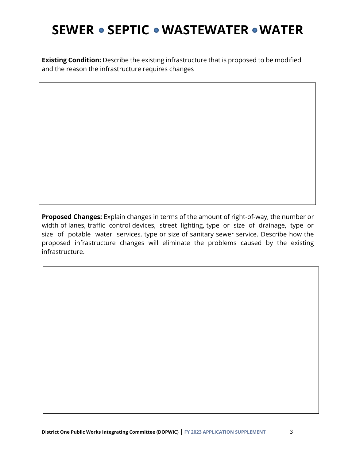**Existing Condition:** Describe the existing infrastructure that is proposed to be modified and the reason the infrastructure requires changes

**Proposed Changes:** Explain changes in terms of the amount of right-of-way, the number or width of lanes, traffic control devices, street lighting, type or size of drainage, type or size of potable water services, type or size of sanitary sewer service. Describe how the proposed infrastructure changes will eliminate the problems caused by the existing infrastructure.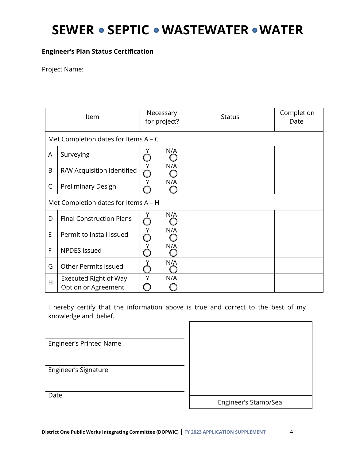#### **Engineer's Plan Status Certification**

Project Name:

| Item |                                              | Necessary<br>for project? | <b>Status</b> | Completion<br>Date |
|------|----------------------------------------------|---------------------------|---------------|--------------------|
|      | Met Completion dates for Items $A - C$       |                           |               |                    |
| A    | Surveying                                    | N/A                       |               |                    |
| B    | R/W Acquisition Identified                   | N/A                       |               |                    |
| C    | Preliminary Design                           | N/A                       |               |                    |
|      | Met Completion dates for Items A - H         |                           |               |                    |
| D    | <b>Final Construction Plans</b>              | N/A                       |               |                    |
| E    | Permit to Install Issued                     | N/A                       |               |                    |
| F    | <b>NPDES Issued</b>                          | N/A                       |               |                    |
| G    | <b>Other Permits Issued</b>                  | N/A                       |               |                    |
| H    | Executed Right of Way<br>Option or Agreement | N/A<br>Υ                  |               |                    |

I hereby certify that the information above is true and correct to the best of my knowledge and belief.

Engineer's Printed Name

Engineer's Signature

Engineer's Stamp/Seal

**Date**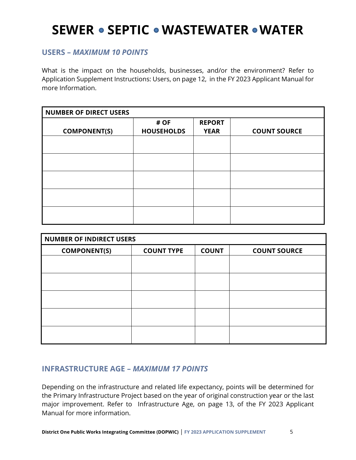### **USERS –** *MAXIMUM 10 POINTS*

What is the impact on the households, businesses, and/or the environment? Refer to Application Supplement Instructions: Users, on page 12, in the FY 2023 Applicant Manual for more Information.

| <b>NUMBER OF DIRECT USERS</b> |                           |                              |                     |
|-------------------------------|---------------------------|------------------------------|---------------------|
| <b>COMPONENT(S)</b>           | # OF<br><b>HOUSEHOLDS</b> | <b>REPORT</b><br><b>YEAR</b> | <b>COUNT SOURCE</b> |
|                               |                           |                              |                     |
|                               |                           |                              |                     |
|                               |                           |                              |                     |
|                               |                           |                              |                     |
|                               |                           |                              |                     |

| <b>NUMBER OF INDIRECT USERS</b> |                   |              |                     |
|---------------------------------|-------------------|--------------|---------------------|
| <b>COMPONENT(S)</b>             | <b>COUNT TYPE</b> | <b>COUNT</b> | <b>COUNT SOURCE</b> |
|                                 |                   |              |                     |
|                                 |                   |              |                     |
|                                 |                   |              |                     |
|                                 |                   |              |                     |
|                                 |                   |              |                     |
|                                 |                   |              |                     |

### **INFRASTRUCTURE AGE –** *MAXIMUM 17 POINTS*

Depending on the infrastructure and related life expectancy, points will be determined for the Primary Infrastructure Project based on the year of original construction year or the last major improvement. Refer to Infrastructure Age, on page 13, of the FY 2023 Applicant Manual for more information.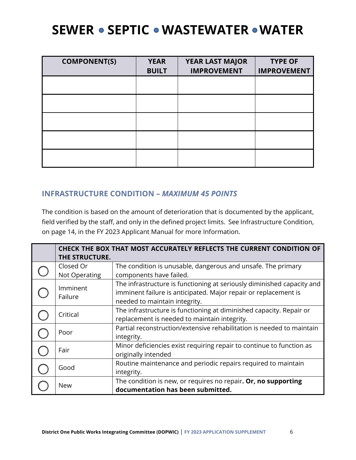| <b>COMPONENT(S)</b> | <b>YEAR</b><br><b>BUILT</b> | <b>YEAR LAST MAJOR</b><br><b>IMPROVEMENT</b> | <b>TYPE OF</b><br><b>IMPROVEMENT</b> |
|---------------------|-----------------------------|----------------------------------------------|--------------------------------------|
|                     |                             |                                              |                                      |
|                     |                             |                                              |                                      |
|                     |                             |                                              |                                      |
|                     |                             |                                              |                                      |
|                     |                             |                                              |                                      |

### **INFRASTRUCTURE CONDITION –** *MAXIMUM 45 POINTS*

The condition is based on the amount of deterioration that is documented by the applicant, field verified by the staff, and only in the defined project limits. See Infrastructure Condition, on page 14, in the FY 2023 Applicant Manual for more Information.

| THE STRUCTURE.             | CHECK THE BOX THAT MOST ACCURATELY REFLECTS THE CURRENT CONDITION OF                                                                                                       |
|----------------------------|----------------------------------------------------------------------------------------------------------------------------------------------------------------------------|
| Closed Or<br>Not Operating | The condition is unusable, dangerous and unsafe. The primary<br>components have failed.                                                                                    |
| Imminent<br>Failure        | The infrastructure is functioning at seriously diminished capacity and<br>imminent failure is anticipated. Major repair or replacement is<br>needed to maintain integrity. |
| Critical                   | The infrastructure is functioning at diminished capacity. Repair or<br>replacement is needed to maintain integrity.                                                        |
| Poor                       | Partial reconstruction/extensive rehabilitation is needed to maintain<br>integrity.                                                                                        |
| Fair                       | Minor deficiencies exist requiring repair to continue to function as<br>originally intended                                                                                |
| Good                       | Routine maintenance and periodic repairs required to maintain<br>integrity.                                                                                                |
| <b>New</b>                 | The condition is new, or requires no repair. Or, no supporting<br>documentation has been submitted.                                                                        |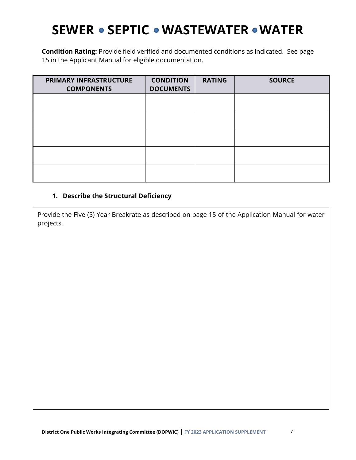**Condition Rating:** Provide field verified and documented conditions as indicated. See page 15 in the Applicant Manual for eligible documentation.

| PRIMARY INFRASTRUCTURE<br><b>COMPONENTS</b> | <b>CONDITION</b><br><b>DOCUMENTS</b> | <b>RATING</b> | <b>SOURCE</b> |
|---------------------------------------------|--------------------------------------|---------------|---------------|
|                                             |                                      |               |               |
|                                             |                                      |               |               |
|                                             |                                      |               |               |
|                                             |                                      |               |               |
|                                             |                                      |               |               |

#### **1. Describe the Structural Deficiency**

Provide the Five (5) Year Breakrate as described on page 15 of the Application Manual for water projects.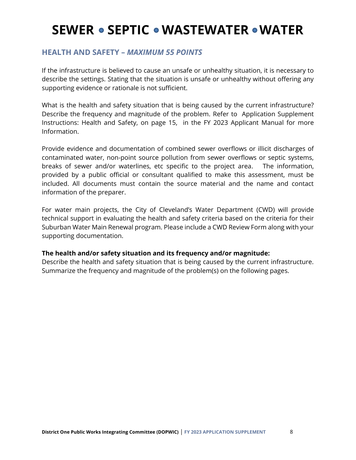### **HEALTH AND SAFETY –** *MAXIMUM 55 POINTS*

If the infrastructure is believed to cause an unsafe or unhealthy situation, it is necessary to describe the settings. Stating that the situation is unsafe or unhealthy without offering any supporting evidence or rationale is not sufficient.

What is the health and safety situation that is being caused by the current infrastructure? Describe the frequency and magnitude of the problem. Refer to Application Supplement Instructions: Health and Safety, on page 15, in the FY 2023 Applicant Manual for more Information.

Provide evidence and documentation of combined sewer overflows or illicit discharges of contaminated water, non-point source pollution from sewer overflows or septic systems, breaks of sewer and/or waterlines, etc specific to the project area. The information, provided by a public official or consultant qualified to make this assessment, must be included. All documents must contain the source material and the name and contact information of the preparer.

For water main projects, the City of Cleveland's Water Department (CWD) will provide technical support in evaluating the health and safety criteria based on the criteria for their Suburban Water Main Renewal program. Please include a CWD Review Form along with your supporting documentation.

#### **The health and/or safety situation and its frequency and/or magnitude:**

Describe the health and safety situation that is being caused by the current infrastructure. Summarize the frequency and magnitude of the problem(s) on the following pages.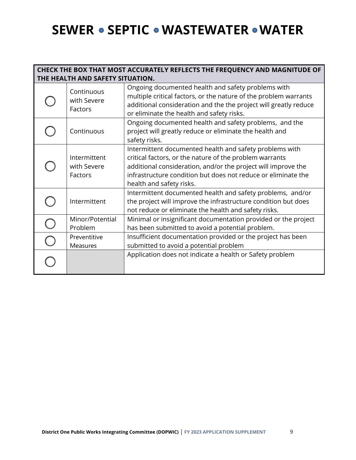#### **CHECK THE BOX THAT MOST ACCURATELY REFLECTS THE FREQUENCY AND MAGNITUDE OF THE HEALTH AND SAFETY SITUATION.**

| Continuous<br>with Severe<br>Factors   | Ongoing documented health and safety problems with<br>multiple critical factors, or the nature of the problem warrants<br>additional consideration and the the project will greatly reduce<br>or eliminate the health and safety risks.                                          |
|----------------------------------------|----------------------------------------------------------------------------------------------------------------------------------------------------------------------------------------------------------------------------------------------------------------------------------|
| Continuous                             | Ongoing documented health and safety problems, and the<br>project will greatly reduce or eliminate the health and<br>safety risks.                                                                                                                                               |
| Intermittent<br>with Severe<br>Factors | Intermittent documented health and safety problems with<br>critical factors, or the nature of the problem warrants<br>additional consideration, and/or the project will improve the<br>infrastructure condition but does not reduce or eliminate the<br>health and safety risks. |
| Intermittent                           | Intermittent documented health and safety problems, and/or<br>the project will improve the infrastructure condition but does<br>not reduce or eliminate the health and safety risks.                                                                                             |
| Minor/Potential<br>Problem             | Minimal or insignificant documentation provided or the project<br>has been submitted to avoid a potential problem.                                                                                                                                                               |
| Preventitive<br>Measures               | Insufficient documentation provided or the project has been<br>submitted to avoid a potential problem                                                                                                                                                                            |
|                                        | Application does not indicate a health or Safety problem                                                                                                                                                                                                                         |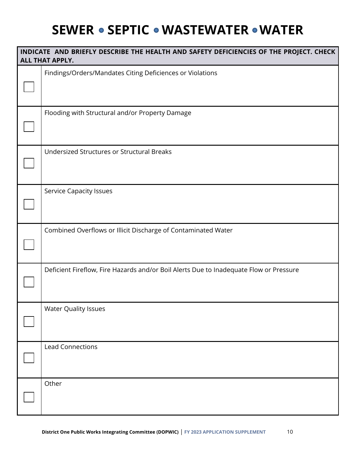| INDICATE AND BRIEFLY DESCRIBE THE HEALTH AND SAFETY DEFICIENCIES OF THE PROJECT. CHECK<br>ALL THAT APPLY. |
|-----------------------------------------------------------------------------------------------------------|
| Findings/Orders/Mandates Citing Deficiences or Violations                                                 |
| Flooding with Structural and/or Property Damage                                                           |
| Undersized Structures or Structural Breaks                                                                |
| <b>Service Capacity Issues</b>                                                                            |
| Combined Overflows or Illicit Discharge of Contaminated Water                                             |
| Deficient Fireflow, Fire Hazards and/or Boil Alerts Due to Inadequate Flow or Pressure                    |
| <b>Water Quality Issues</b>                                                                               |
| <b>Lead Connections</b>                                                                                   |
| Other                                                                                                     |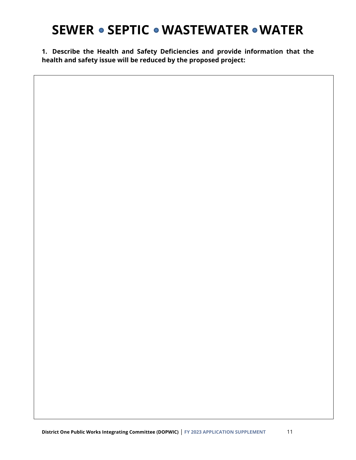**1. Describe the Health and Safety Deficiencies and provide information that the health and safety issue will be reduced by the proposed project:**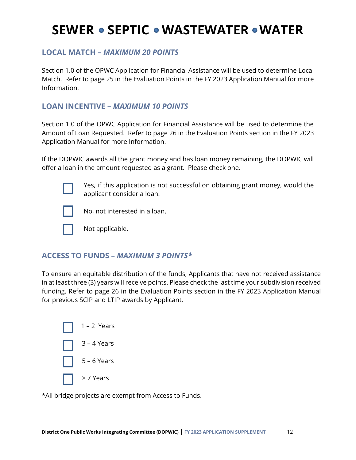### **LOCAL MATCH –** *MAXIMUM 20 POINTS*

Section 1.0 of the OPWC Application for Financial Assistance will be used to determine Local Match. Refer to page 25 in the Evaluation Points in the FY 2023 Application Manual for more Information.

### **LOAN INCENTIVE –** *MAXIMUM 10 POINTS*

Section 1.0 of the OPWC Application for Financial Assistance will be used to determine the Amount of Loan Requested. Refer to page 26 in the Evaluation Points section in the FY 2023 Application Manual for more Information.

If the DOPWIC awards all the grant money and has loan money remaining, the DOPWIC will offer a loan in the amount requested as a grant. Please check one.



Yes, if this application is not successful on obtaining grant money, would the applicant consider a loan.



No, not interested in a loan.

Not applicable.

### **ACCESS TO FUNDS** *– MAXIMUM 3 POINTS\**

To ensure an equitable distribution of the funds, Applicants that have not received assistance in at least three (3) years will receive points. Please check the last time your subdivision received funding. Refer to page 26 in the Evaluation Points section in the FY 2023 Application Manual for previous SCIP and LTIP awards by Applicant.

| $\begin{vmatrix} 1 & 1 & -2 \end{vmatrix}$ Years      |
|-------------------------------------------------------|
| $\begin{bmatrix} 3 - 4 \end{bmatrix}$ Years           |
| $\begin{array}{ c c } \hline \end{array}$ 5 – 6 Years |
|                                                       |

\*All bridge projects are exempt from Access to Funds.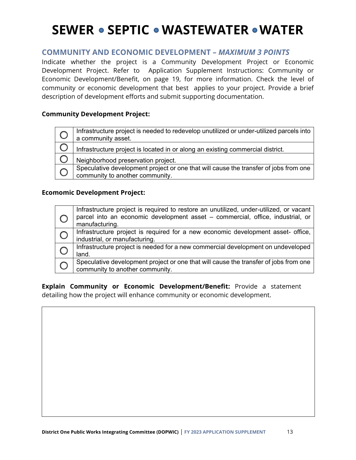### **COMMUNITY AND ECONOMIC DEVELOPMENT –** *MAXIMUM 3 POINTS*

Indicate whether the project is a Community Development Project or Economic Development Project. Refer to Application Supplement Instructions: Community or Economic Development/Benefit, on page 19, for more information. Check the level of community or economic development that best applies to your project. Provide a brief description of development efforts and submit supporting documentation.

#### **Community Development Project:**

|           | Infrastructure project is needed to redevelop unutilized or under-utilized parcels into<br>a community asset.           |
|-----------|-------------------------------------------------------------------------------------------------------------------------|
|           | Infrastructure project is located in or along an existing commercial district.                                          |
|           | Neighborhood preservation project.                                                                                      |
| $\subset$ | Speculative development project or one that will cause the transfer of jobs from one<br>community to another community. |

#### **Ecomomic Development Project:**

|            | Infrastructure project is required to restore an unutilized, under-utilized, or vacant<br>parcel into an economic development asset - commercial, office, industrial, or<br>manufacturing. |
|------------|--------------------------------------------------------------------------------------------------------------------------------------------------------------------------------------------|
| $\bigcirc$ | Infrastructure project is required for a new economic development asset- office,<br>industrial, or manufacturing.                                                                          |
|            | Infrastructure project is needed for a new commercial development on undeveloped<br>land.                                                                                                  |
|            | Speculative development project or one that will cause the transfer of jobs from one<br>community to another community.                                                                    |

**Explain Community or Economic Development/Benefit:** Provide a statement detailing how the project will enhance community or economic development.

**REGIONAL COLLABORATION**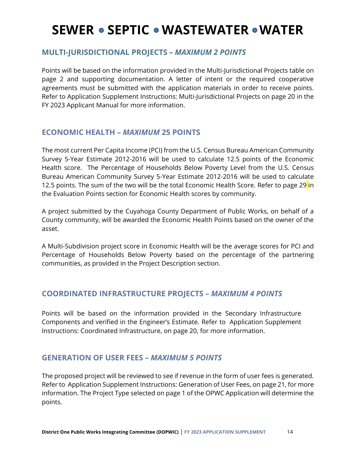### **MULTI-JURISDICTIONAL PROJECTS** *– MAXIMUM 2 POINTS*

Points will be based on the information provided in the Multi-Jurisdictional Projects table on page 2 and supporting documentation. A letter of intent or the required cooperative agreements must be submitted with the application materials in order to receive points. Refer to Application Supplement Instructions: Multi-Jurisdictional Projects on page 20 in the FY 2023 Applicant Manual for more information.

### **ECONOMIC HEALTH –** *MAXIMUM* **25 POINTS**

The most current Per Capita Income (PCI) from the U.S. Census Bureau American Community Survey 5-Year Estimate 2012-2016 will be used to calculate 12.5 points of the Economic Health score. The Percentage of Households Below Poverty Level from the U.S. Census Bureau American Community Survey 5-Year Estimate 2012-2016 will be used to calculate 12.5 points. The sum of the two will be the total Economic Health Score. Refer to page 29 in the Evaluation Points section for Economic Health scores by community.

A project submitted by the Cuyahoga County Department of Public Works, on behalf of a County community, will be awarded the Economic Health Points based on the owner of the asset.

A Multi-Subdivision project score in Economic Health will be the average scores for PCI and Percentage of Households Below Poverty based on the percentage of the partnering communities, as provided in the Project Description section.

### **COORDINATED INFRASTRUCTURE PROJECTS –** *MAXIMUM 4 POINTS*

Points will be based on the information provided in the Secondary Infrastructure Components and verified in the Engineer's Estimate. Refer to Application Supplement Instructions: Coordinated Infrastructure, on page 20, for more information.

### **GENERATION OF USER FEES –** *MAXIMUM 5 POINTS*

The proposed project will be reviewed to see if revenue in the form of user fees is generated. Refer to Application Supplement Instructions: Generation of User Fees, on page 21, for more information. The Project Type selected on page 1 of the OPWC Application will determine the points.